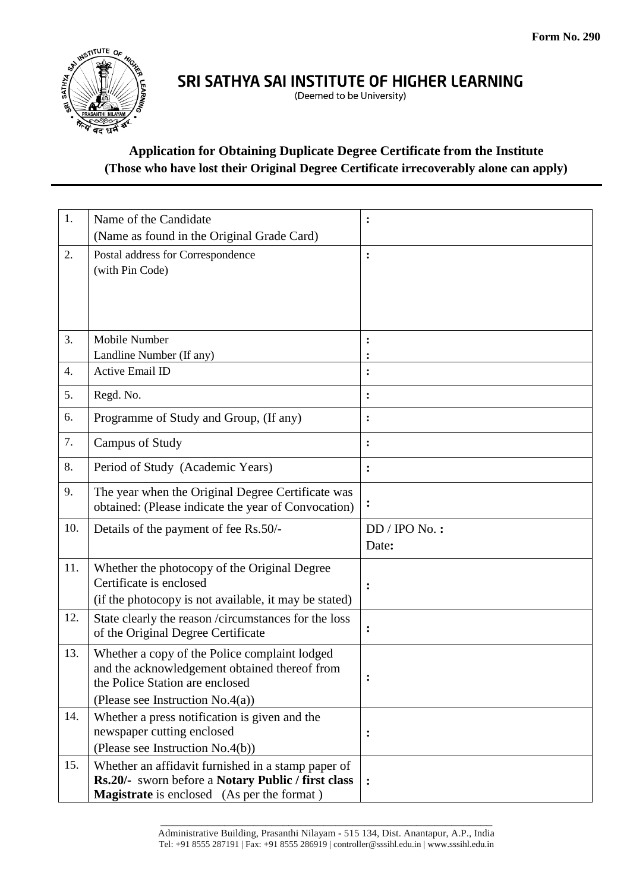

## SRI SATHYA SAI INSTITUTE OF HIGHER LEARNING

(Deemed to be University)

### **Application for Obtaining Duplicate Degree Certificate from the Institute (Those who have lost their Original Degree Certificate irrecoverably alone can apply)**

| 1.  | Name of the Candidate                                                            | $\ddot{\cdot}$ |
|-----|----------------------------------------------------------------------------------|----------------|
|     | (Name as found in the Original Grade Card)                                       |                |
| 2.  | Postal address for Correspondence                                                | $\ddot{\cdot}$ |
|     | (with Pin Code)                                                                  |                |
|     |                                                                                  |                |
|     |                                                                                  |                |
|     |                                                                                  |                |
| 3.  | Mobile Number<br>Landline Number (If any)                                        |                |
| 4.  | <b>Active Email ID</b>                                                           | $\ddot{\cdot}$ |
|     |                                                                                  |                |
| 5.  | Regd. No.                                                                        | :              |
| 6.  | Programme of Study and Group, (If any)                                           | $\ddot{\cdot}$ |
| 7.  | <b>Campus of Study</b>                                                           | $\ddot{\cdot}$ |
| 8.  | Period of Study (Academic Years)                                                 | $\ddot{\cdot}$ |
| 9.  | The year when the Original Degree Certificate was                                |                |
|     | obtained: (Please indicate the year of Convocation)                              | $\ddot{\cdot}$ |
| 10. | Details of the payment of fee Rs.50/-                                            | $DD/$ IPO No.: |
|     |                                                                                  | Date:          |
| 11. | Whether the photocopy of the Original Degree                                     |                |
|     | Certificate is enclosed                                                          | $\ddot{\cdot}$ |
|     | (if the photocopy is not available, it may be stated)                            |                |
| 12. | State clearly the reason /circumstances for the loss                             | $\ddot{\cdot}$ |
|     | of the Original Degree Certificate                                               |                |
| 13. | Whether a copy of the Police complaint lodged                                    |                |
|     | and the acknowledgement obtained thereof from<br>the Police Station are enclosed |                |
|     | (Please see Instruction $No.4(a)$ )                                              |                |
| 14. | Whether a press notification is given and the                                    |                |
|     | newspaper cutting enclosed                                                       | :              |
|     | (Please see Instruction No.4(b))                                                 |                |
| 15. | Whether an affidavit furnished in a stamp paper of                               |                |
|     | Rs.20/- sworn before a Notary Public / first class                               | :              |
|     | <b>Magistrate</b> is enclosed (As per the format)                                |                |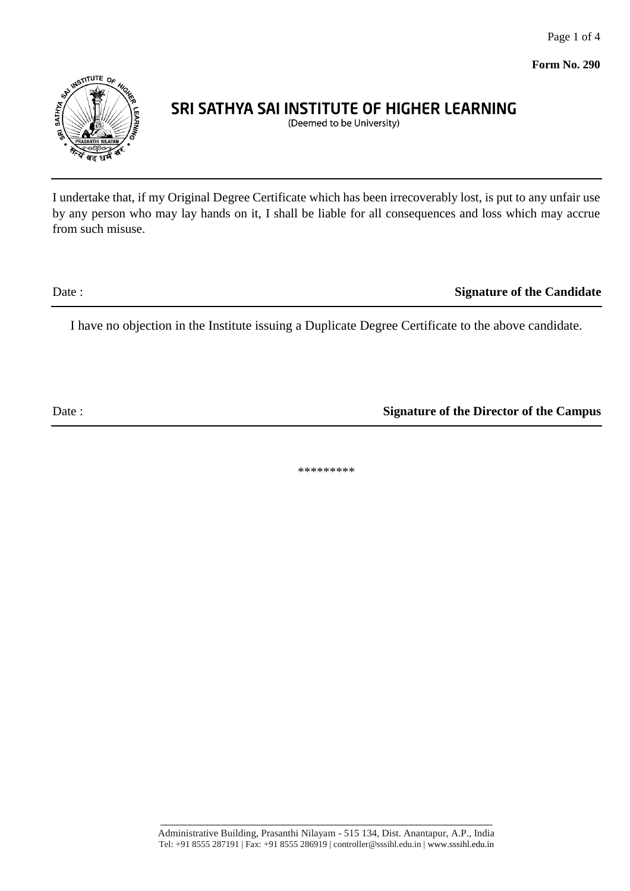Page 1 of 4

**Form No. 290**



# SRI SATHYA SAI INSTITUTE OF HIGHER LEARNING

(Deemed to be University)

I undertake that, if my Original Degree Certificate which has been irrecoverably lost, is put to any unfair use by any person who may lay hands on it, I shall be liable for all consequences and loss which may accrue from such misuse.

Date : **Signature of the Candidate** 

I have no objection in the Institute issuing a Duplicate Degree Certificate to the above candidate.

Date : **Signature of the Director of the Campus** 

\*\*\*\*\*\*\*\*\*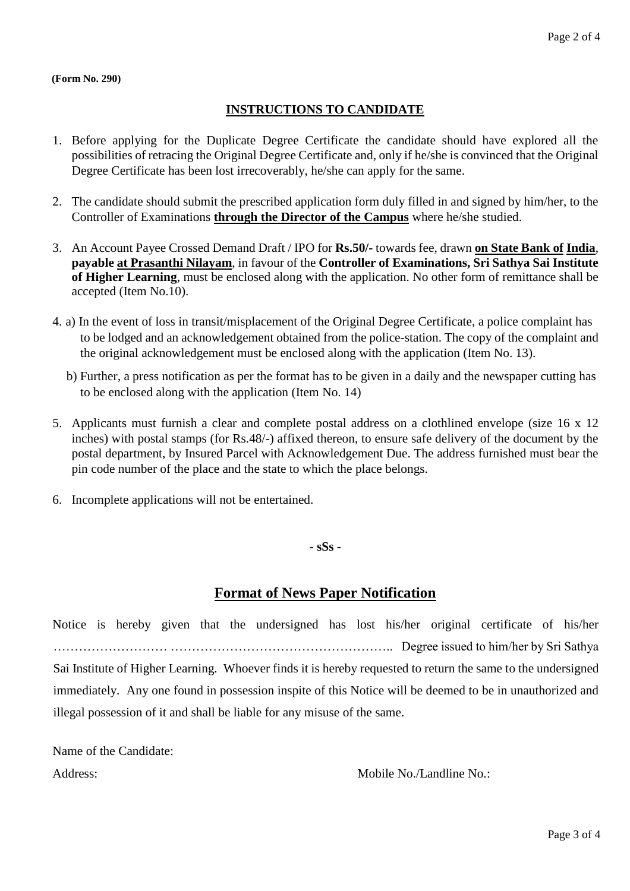#### **(Form No. 290)**

#### **INSTRUCTIONS TO CANDIDATE**

- 1. Before applying for the Duplicate Degree Certificate the candidate should have explored all the possibilities of retracing the Original Degree Certificate and, only if he/she is convinced that the Original Degree Certificate has been lost irrecoverably, he/she can apply for the same.
- 2. The candidate should submit the prescribed application form duly filled in and signed by him/her, to the Controller of Examinations **through the Director of the Campus** where he/she studied.
- 3. An Account Payee Crossed Demand Draft / IPO for **Rs.50/-** towards fee, drawn **on State Bank of India**, **payable at Prasanthi Nilayam**, in favour of the **Controller of Examinations, Sri Sathya Sai Institute of Higher Learning**, must be enclosed along with the application. No other form of remittance shall be accepted (Item No.10).
- 4. a) In the event of loss in transit/misplacement of the Original Degree Certificate, a police complaint has to be lodged and an acknowledgement obtained from the police-station. The copy of the complaint and the original acknowledgement must be enclosed along with the application (Item No. 13).
	- b) Further, a press notification as per the format has to be given in a daily and the newspaper cutting has to be enclosed along with the application (Item No. 14)
- 5. Applicants must furnish a clear and complete postal address on a clothlined envelope (size 16 x 12 inches) with postal stamps (for Rs.48/-) affixed thereon, to ensure safe delivery of the document by the postal department, by Insured Parcel with Acknowledgement Due. The address furnished must bear the pin code number of the place and the state to which the place belongs.
- 6. Incomplete applications will not be entertained.

**- sSs -**

### **Format of News Paper Notification**

Notice is hereby given that the undersigned has lost his/her original certificate of his/her ……………………… …………………………………………….. Degree issued to him/her by Sri Sathya Sai Institute of Higher Learning. Whoever finds it is hereby requested to return the same to the undersigned immediately. Any one found in possession inspite of this Notice will be deemed to be in unauthorized and illegal possession of it and shall be liable for any misuse of the same.

Name of the Candidate:

Address: Mobile No./Landline No.: